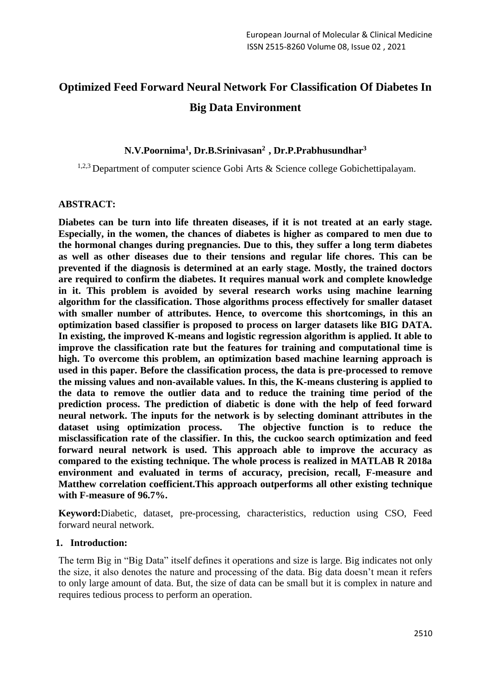# **Optimized Feed Forward Neural Network For Classification Of Diabetes In Big Data Environment**

## **N.V.Poornima<sup>1</sup> , Dr.B.Srinivasan<sup>2</sup>, Dr.P.Prabhusundhar<sup>3</sup>**

<sup>1,2,3</sup> Department of computer science Gobi Arts & Science college Gobichettipalayam.

#### **ABSTRACT:**

**Diabetes can be turn into life threaten diseases, if it is not treated at an early stage. Especially, in the women, the chances of diabetes is higher as compared to men due to the hormonal changes during pregnancies. Due to this, they suffer a long term diabetes as well as other diseases due to their tensions and regular life chores. This can be prevented if the diagnosis is determined at an early stage. Mostly, the trained doctors are required to confirm the diabetes. It requires manual work and complete knowledge in it. This problem is avoided by several research works using machine learning algorithm for the classification. Those algorithms process effectively for smaller dataset with smaller number of attributes. Hence, to overcome this shortcomings, in this an optimization based classifier is proposed to process on larger datasets like BIG DATA. In existing, the improved K-means and logistic regression algorithm is applied. It able to improve the classification rate but the features for training and computational time is high. To overcome this problem, an optimization based machine learning approach is used in this paper. Before the classification process, the data is pre-processed to remove the missing values and non-available values. In this, the K-means clustering is applied to the data to remove the outlier data and to reduce the training time period of the prediction process. The prediction of diabetic is done with the help of feed forward neural network. The inputs for the network is by selecting dominant attributes in the dataset using optimization process. The objective function is to reduce the misclassification rate of the classifier. In this, the cuckoo search optimization and feed forward neural network is used. This approach able to improve the accuracy as compared to the existing technique. The whole process is realized in MATLAB R 2018a environment and evaluated in terms of accuracy, precision, recall, F-measure and Matthew correlation coefficient.This approach outperforms all other existing technique with F-measure of 96.7%.**

**Keyword:**Diabetic, dataset, pre-processing, characteristics, reduction using CSO, Feed forward neural network.

#### **1. Introduction:**

The term Big in "Big Data" itself defines it operations and size is large. Big indicates not only the size, it also denotes the nature and processing of the data. Big data doesn't mean it refers to only large amount of data. But, the size of data can be small but it is complex in nature and requires tedious process to perform an operation.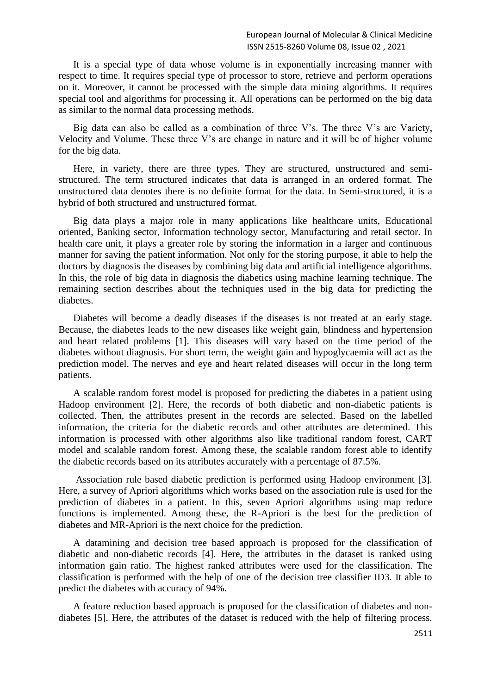It is a special type of data whose volume is in exponentially increasing manner with respect to time. It requires special type of processor to store, retrieve and perform operations on it. Moreover, it cannot be processed with the simple data mining algorithms. It requires special tool and algorithms for processing it. All operations can be performed on the big data as similar to the normal data processing methods.

Big data can also be called as a combination of three V's. The three V's are Variety, Velocity and Volume. These three V's are change in nature and it will be of higher volume for the big data.

Here, in variety, there are three types. They are structured, unstructured and semistructured. The term structured indicates that data is arranged in an ordered format. The unstructured data denotes there is no definite format for the data. In Semi-structured, it is a hybrid of both structured and unstructured format.

Big data plays a major role in many applications like healthcare units, Educational oriented, Banking sector, Information technology sector, Manufacturing and retail sector. In health care unit, it plays a greater role by storing the information in a larger and continuous manner for saving the patient information. Not only for the storing purpose, it able to help the doctors by diagnosis the diseases by combining big data and artificial intelligence algorithms. In this, the role of big data in diagnosis the diabetics using machine learning technique. The remaining section describes about the techniques used in the big data for predicting the diabetes.

Diabetes will become a deadly diseases if the diseases is not treated at an early stage. Because, the diabetes leads to the new diseases like weight gain, blindness and hypertension and heart related problems [1]. This diseases will vary based on the time period of the diabetes without diagnosis. For short term, the weight gain and hypoglycaemia will act as the prediction model. The nerves and eye and heart related diseases will occur in the long term patients.

A scalable random forest model is proposed for predicting the diabetes in a patient using Hadoop environment [2]. Here, the records of both diabetic and non-diabetic patients is collected. Then, the attributes present in the records are selected. Based on the labelled information, the criteria for the diabetic records and other attributes are determined. This information is processed with other algorithms also like traditional random forest, CART model and scalable random forest. Among these, the scalable random forest able to identify the diabetic records based on its attributes accurately with a percentage of 87.5%.

Association rule based diabetic prediction is performed using Hadoop environment [3]. Here, a survey of Apriori algorithms which works based on the association rule is used for the prediction of diabetes in a patient. In this, seven Apriori algorithms using map reduce functions is implemented. Among these, the R-Apriori is the best for the prediction of diabetes and MR-Apriori is the next choice for the prediction.

A datamining and decision tree based approach is proposed for the classification of diabetic and non-diabetic records [4]. Here, the attributes in the dataset is ranked using information gain ratio. The highest ranked attributes were used for the classification. The classification is performed with the help of one of the decision tree classifier ID3. It able to predict the diabetes with accuracy of 94%.

A feature reduction based approach is proposed for the classification of diabetes and nondiabetes [5]. Here, the attributes of the dataset is reduced with the help of filtering process.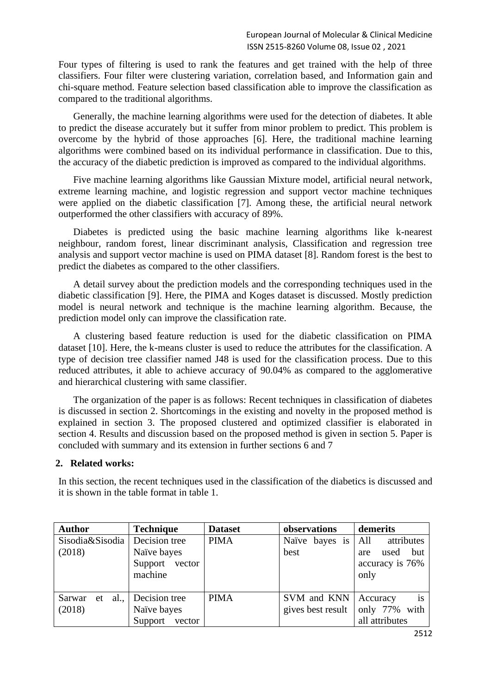Four types of filtering is used to rank the features and get trained with the help of three classifiers. Four filter were clustering variation, correlation based, and Information gain and chi-square method. Feature selection based classification able to improve the classification as compared to the traditional algorithms.

Generally, the machine learning algorithms were used for the detection of diabetes. It able to predict the disease accurately but it suffer from minor problem to predict. This problem is overcome by the hybrid of those approaches [6]. Here, the traditional machine learning algorithms were combined based on its individual performance in classification. Due to this, the accuracy of the diabetic prediction is improved as compared to the individual algorithms.

Five machine learning algorithms like Gaussian Mixture model, artificial neural network, extreme learning machine, and logistic regression and support vector machine techniques were applied on the diabetic classification [7]. Among these, the artificial neural network outperformed the other classifiers with accuracy of 89%.

Diabetes is predicted using the basic machine learning algorithms like k-nearest neighbour, random forest, linear discriminant analysis, Classification and regression tree analysis and support vector machine is used on PIMA dataset [8]. Random forest is the best to predict the diabetes as compared to the other classifiers.

A detail survey about the prediction models and the corresponding techniques used in the diabetic classification [9]. Here, the PIMA and Koges dataset is discussed. Mostly prediction model is neural network and technique is the machine learning algorithm. Because, the prediction model only can improve the classification rate.

A clustering based feature reduction is used for the diabetic classification on PIMA dataset [10]. Here, the k-means cluster is used to reduce the attributes for the classification. A type of decision tree classifier named J48 is used for the classification process. Due to this reduced attributes, it able to achieve accuracy of 90.04% as compared to the agglomerative and hierarchical clustering with same classifier.

The organization of the paper is as follows: Recent techniques in classification of diabetes is discussed in section 2. Shortcomings in the existing and novelty in the proposed method is explained in section 3. The proposed clustered and optimized classifier is elaborated in section 4. Results and discussion based on the proposed method is given in section 5. Paper is concluded with summary and its extension in further sections 6 and 7

#### **2. Related works:**

In this section, the recent techniques used in the classification of the diabetics is discussed and it is shown in the table format in table 1.

| <b>Author</b>                     | <b>Technique</b> | <b>Dataset</b> | observations       | demerits           |
|-----------------------------------|------------------|----------------|--------------------|--------------------|
| Sisodia & Sisodia   Decision tree |                  | <b>PIMA</b>    | Naïve bayes is All | attributes         |
| (2018)                            | Naïve bayes      |                | best               | but<br>used<br>are |
|                                   | Support vector   |                |                    | accuracy is 76%    |
|                                   | machine          |                |                    | only               |
|                                   |                  |                |                    |                    |
| al.<br>Sarwar<br>et               | Decision tree    | <b>PIMA</b>    | SVM and KNN        | is<br>Accuracy     |
| (2018)                            | Naïve bayes      |                | gives best result  | only 77% with      |
|                                   | Support vector   |                |                    | all attributes     |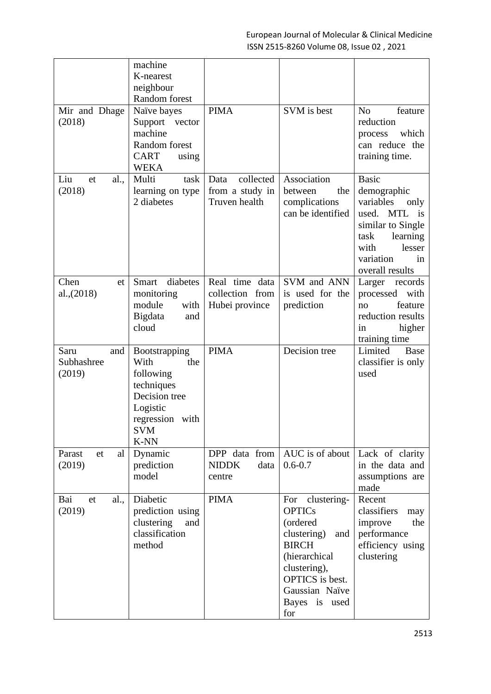|                                     | machine                                                                                                                              |                                                       |                                                                                                                                                                                            |                                                                                                                                                                   |
|-------------------------------------|--------------------------------------------------------------------------------------------------------------------------------------|-------------------------------------------------------|--------------------------------------------------------------------------------------------------------------------------------------------------------------------------------------------|-------------------------------------------------------------------------------------------------------------------------------------------------------------------|
|                                     | K-nearest                                                                                                                            |                                                       |                                                                                                                                                                                            |                                                                                                                                                                   |
|                                     | neighbour                                                                                                                            |                                                       |                                                                                                                                                                                            |                                                                                                                                                                   |
|                                     | Random forest                                                                                                                        |                                                       |                                                                                                                                                                                            |                                                                                                                                                                   |
| Mir and Dhage<br>(2018)             | Naïve bayes<br>Support vector<br>machine<br>Random forest<br><b>CART</b><br>using<br><b>WEKA</b>                                     | <b>PIMA</b>                                           | SVM is best                                                                                                                                                                                | N <sub>o</sub><br>feature<br>reduction<br>which<br>process<br>can reduce the<br>training time.                                                                    |
| Liu<br>al.,<br>et<br>(2018)         | Multi<br>task<br>learning on type<br>2 diabetes                                                                                      | collected<br>Data<br>from a study in<br>Truven health | Association<br>between<br>the<br>complications<br>can be identified                                                                                                                        | <b>Basic</b><br>demographic<br>variables<br>only<br>used. MTL is<br>similar to Single<br>task<br>learning<br>with<br>lesser<br>variation<br>in<br>overall results |
| Chen<br>et<br>al., (2018)           | diabetes<br>Smart<br>monitoring<br>module<br>with<br>Bigdata<br>and<br>cloud                                                         | Real time data<br>collection from<br>Hubei province   | SVM and ANN<br>is used for the<br>prediction                                                                                                                                               | Larger<br>records<br>processed with<br>feature<br>no<br>reduction results<br>higher<br>in<br>training time                                                        |
| Saru<br>and<br>Subhashree<br>(2019) | <b>Bootstrapping</b><br>With<br>the<br>following<br>techniques<br>Decision tree<br>Logistic<br>regression with<br><b>SVM</b><br>K-NN | <b>PIMA</b>                                           | Decision tree                                                                                                                                                                              | Limited<br>Base<br>classifier is only<br>used                                                                                                                     |
| Parast<br>et<br>al  <br>(2019)      | Dynamic<br>prediction<br>model                                                                                                       | DPP data from<br><b>NIDDK</b><br>data<br>centre       | AUC is of about<br>$0.6 - 0.7$                                                                                                                                                             | Lack of clarity<br>in the data and<br>assumptions are<br>made                                                                                                     |
| Bai<br>al.,<br>et<br>(2019)         | Diabetic<br>prediction using<br>clustering<br>and<br>classification<br>method                                                        | <b>PIMA</b>                                           | For<br>clustering-<br><b>OPTICs</b><br>(ordered<br>clustering)<br>and<br><b>BIRCH</b><br>(hierarchical<br>clustering),<br><b>OPTICS</b> is best.<br>Gaussian Naïve<br>Bayes is used<br>for | Recent<br>classifiers<br>may<br>improve<br>the<br>performance<br>efficiency using<br>clustering                                                                   |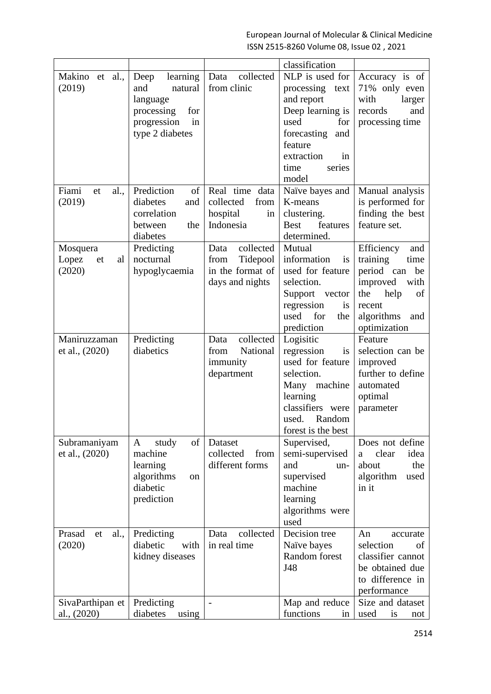|                      |                   |                          | classification          |                    |
|----------------------|-------------------|--------------------------|-------------------------|--------------------|
| Makino et<br>al.,    | learning<br>Deep  | collected<br>Data        | NLP is used for         | Accuracy is of     |
| (2019)               | and<br>natural    | from clinic              | processing<br>text      | 71% only even      |
|                      | language          |                          | and report              | with<br>larger     |
|                      | processing<br>for |                          | Deep learning is        | records<br>and     |
|                      | progression<br>in |                          | used<br>for             | processing time    |
|                      | type 2 diabetes   |                          | forecasting<br>and      |                    |
|                      |                   |                          | feature                 |                    |
|                      |                   |                          | extraction<br>in        |                    |
|                      |                   |                          | time<br>series          |                    |
|                      |                   |                          | model                   |                    |
| Fiami<br>et<br>al.,  | Prediction<br>of  | Real time data           | Naïve bayes and         | Manual analysis    |
| (2019)               | diabetes<br>and   | collected<br>from        | K-means                 | is performed for   |
|                      | correlation       | hospital<br>in           | clustering.             | finding the best   |
|                      | between<br>the    | Indonesia                | features<br><b>Best</b> | feature set.       |
|                      | diabetes          |                          | determined.             |                    |
| Mosquera             | Predicting        | collected<br>Data        | Mutual                  | Efficiency<br>and  |
| Lopez<br>al<br>et    | nocturnal         | Tidepool<br>from         | information<br>is       | training<br>time   |
| (2020)               | hypoglycaemia     | in the format of         | used for feature        | period can<br>be   |
|                      |                   | days and nights          | selection.              | improved<br>with   |
|                      |                   |                          | Support vector          | the<br>help<br>of  |
|                      |                   |                          | regression<br>is        | recent             |
|                      |                   |                          | for<br>used<br>the      | algorithms<br>and  |
|                      |                   |                          | prediction              | optimization       |
| Maniruzzaman         | Predicting        | collected<br>Data        | Logisitic               | Feature            |
| et al., (2020)       | diabetics         | National<br>from         | regression<br>is        | selection can be   |
|                      |                   | immunity                 | used for feature        | improved           |
|                      |                   | department               | selection.              | further to define  |
|                      |                   |                          | Many machine            | automated          |
|                      |                   |                          | learning                | optimal            |
|                      |                   |                          | classifiers were        | parameter          |
|                      |                   |                          | used.<br>Random         |                    |
|                      |                   |                          | forest is the best      |                    |
| Subramaniyam         | study<br>of<br>A  | Dataset                  | Supervised,             | Does not define    |
| et al., (2020)       | machine           | collected<br>from        | semi-supervised         | clear<br>idea<br>a |
|                      | learning          | different forms          | and<br>un-              | about<br>the       |
|                      | algorithms<br>on  |                          | supervised              | algorithm<br>used  |
|                      | diabetic          |                          | machine                 | in it              |
|                      | prediction        |                          | learning                |                    |
|                      |                   |                          | algorithms were         |                    |
|                      |                   |                          | used                    |                    |
| Prasad<br>al.,<br>et | Predicting        | collected<br>Data        | Decision tree           | An<br>accurate     |
| (2020)               | diabetic<br>with  | in real time             | Naïve bayes             | selection<br>of    |
|                      | kidney diseases   |                          | Random forest           | classifier cannot  |
|                      |                   |                          | J48                     | be obtained due    |
|                      |                   |                          |                         | to difference in   |
|                      |                   |                          |                         | performance        |
| SivaParthipan et     | Predicting        | $\overline{\phantom{a}}$ | Map and reduce          | Size and dataset   |
| al., (2020)          | diabetes<br>using |                          | functions<br>in         | used<br>is<br>not  |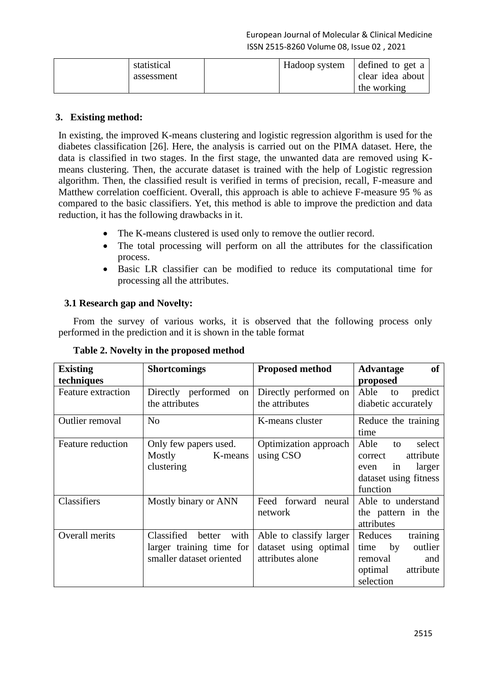| statistical | Hadoop system | defined to get a |
|-------------|---------------|------------------|
| assessment  |               | clear idea about |
|             |               | the working      |

## **3. Existing method:**

In existing, the improved K-means clustering and logistic regression algorithm is used for the diabetes classification [26]. Here, the analysis is carried out on the PIMA dataset. Here, the data is classified in two stages. In the first stage, the unwanted data are removed using Kmeans clustering. Then, the accurate dataset is trained with the help of Logistic regression algorithm. Then, the classified result is verified in terms of precision, recall, F-measure and Matthew correlation coefficient. Overall, this approach is able to achieve F-measure 95 % as compared to the basic classifiers. Yet, this method is able to improve the prediction and data reduction, it has the following drawbacks in it.

- The K-means clustered is used only to remove the outlier record.
- The total processing will perform on all the attributes for the classification process.
- Basic LR classifier can be modified to reduce its computational time for processing all the attributes.

## **3.1 Research gap and Novelty:**

From the survey of various works, it is observed that the following process only performed in the prediction and it is shown in the table format

| <b>Existing</b><br>techniques | <b>Shortcomings</b>                                                                  | <b>Proposed method</b>                                               | <b>of</b><br><b>Advantage</b><br>proposed                                                                 |
|-------------------------------|--------------------------------------------------------------------------------------|----------------------------------------------------------------------|-----------------------------------------------------------------------------------------------------------|
| <b>Feature extraction</b>     | Directly performed<br>on<br>the attributes                                           | Directly performed on<br>the attributes                              | Able<br>predict<br>to<br>diabetic accurately                                                              |
| Outlier removal               | N <sub>o</sub>                                                                       | K-means cluster                                                      | Reduce the training<br>time                                                                               |
| Feature reduction             | Only few papers used.<br>Mostly<br>K-means<br>clustering                             | Optimization approach<br>using CSO                                   | Able<br>select<br>to<br>attribute<br>correct<br>larger<br>in<br>even<br>dataset using fitness<br>function |
| Classifiers                   | Mostly binary or ANN                                                                 | Feed forward neural<br>network                                       | Able to understand<br>the pattern in the<br>attributes                                                    |
| Overall merits                | Classified<br>with<br>better<br>larger training time for<br>smaller dataset oriented | Able to classify larger<br>dataset using optimal<br>attributes alone | training<br>Reduces<br>outlier<br>by<br>time<br>removal<br>and<br>optimal<br>attribute<br>selection       |

## **Table 2. Novelty in the proposed method**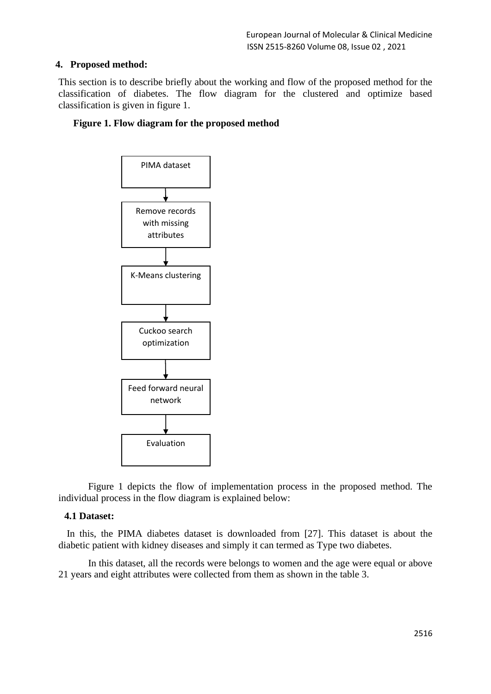## **4. Proposed method:**

This section is to describe briefly about the working and flow of the proposed method for the classification of diabetes. The flow diagram for the clustered and optimize based classification is given in figure 1.

## **Figure 1. Flow diagram for the proposed method**



Figure 1 depicts the flow of implementation process in the proposed method. The individual process in the flow diagram is explained below:

#### **4.1 Dataset:**

In this, the PIMA diabetes dataset is downloaded from [27]. This dataset is about the diabetic patient with kidney diseases and simply it can termed as Type two diabetes.

In this dataset, all the records were belongs to women and the age were equal or above 21 years and eight attributes were collected from them as shown in the table 3.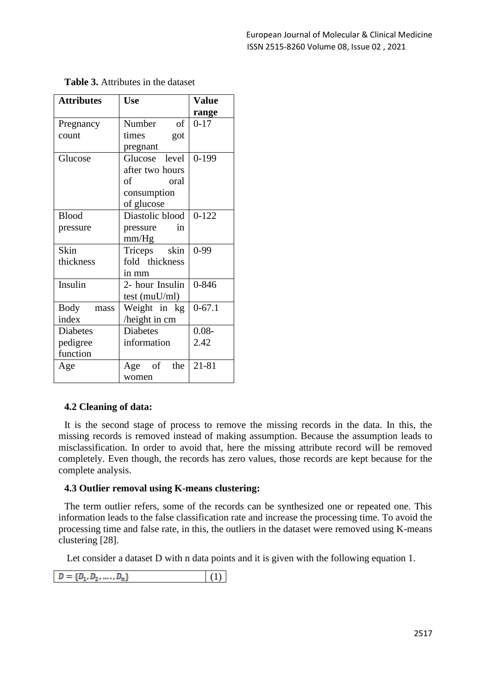| <b>Attributes</b> | <b>Use</b>       | <b>Value</b> |
|-------------------|------------------|--------------|
|                   |                  | range        |
| Pregnancy         | Number<br>of     | $0 - 17$     |
| count             | times<br>got     |              |
|                   | pregnant         |              |
| Glucose           | Glucose level    | $0 - 199$    |
|                   | after two hours  |              |
|                   | of<br>oral       |              |
|                   | consumption      |              |
|                   | of glucose       |              |
| <b>Blood</b>      | Diastolic blood  | $0 - 122$    |
| pressure          | in<br>pressure   |              |
|                   | mm/Hg            |              |
| Skin              | Triceps skin     | $0-99$       |
| thickness         | fold thickness   |              |
|                   | in mm            |              |
| Insulin           | 2- hour Insulin  | $0 - 846$    |
|                   | test (muU/ml)    |              |
| Body<br>mass      | Weight in kg     | $0 - 67.1$   |
| index             | height in cm     |              |
| <b>Diabetes</b>   | <b>Diabetes</b>  | $0.08 -$     |
| pedigree          | information      | 2.42         |
| function          |                  |              |
| Age               | of<br>the<br>Age | 21-81        |
|                   | women            |              |

**Table 3.** Attributes in the dataset

## **4.2 Cleaning of data:**

It is the second stage of process to remove the missing records in the data. In this, the missing records is removed instead of making assumption. Because the assumption leads to misclassification. In order to avoid that, here the missing attribute record will be removed completely. Even though, the records has zero values, those records are kept because for the complete analysis.

#### **4.3 Outlier removal using K-means clustering:**

The term outlier refers, some of the records can be synthesized one or repeated one. This information leads to the false classification rate and increase the processing time. To avoid the processing time and false rate, in this, the outliers in the dataset were removed using K-means clustering [28].

Let consider a dataset D with n data points and it is given with the following equation 1.

 $D = \{D_1, D_2, ..., D_n\}$ (1)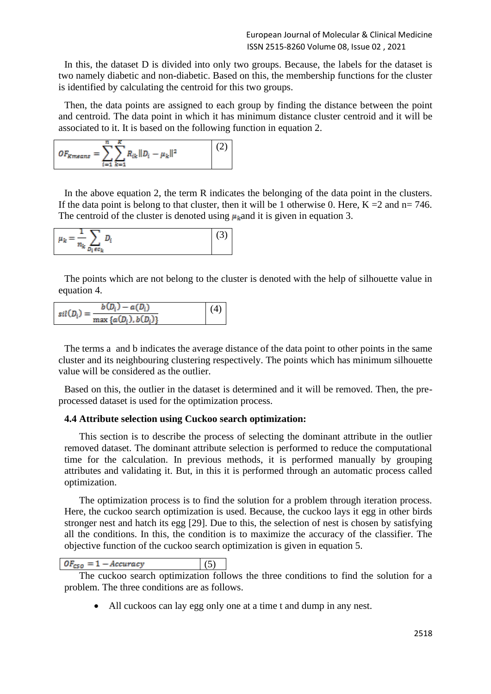In this, the dataset D is divided into only two groups. Because, the labels for the dataset is two namely diabetic and non-diabetic. Based on this, the membership functions for the cluster is identified by calculating the centroid for this two groups.

Then, the data points are assigned to each group by finding the distance between the point and centroid. The data point in which it has minimum distance cluster centroid and it will be associated to it. It is based on the following function in equation 2.

$$
OF_{Kmeans} = \sum_{i=1}^{n} \sum_{k=1}^{K} R_{ik} ||D_i - \mu_k||^2
$$
 (2)

In the above equation 2, the term R indicates the belonging of the data point in the clusters. If the data point is belong to that cluster, then it will be 1 otherwise 0. Here,  $K = 2$  and  $n = 746$ . The centroid of the cluster is denoted using  $\mu_k$  and it is given in equation 3.

| $n_{\rm k}$<br>n | n.<br>ັ |  |
|------------------|---------|--|
| $\epsilon c_k$   |         |  |

The points which are not belong to the cluster is denoted with the help of silhouette value in equation 4.

| $sil(D_i)=$ | $b(D_i) - a(D_i)$           | (4) |
|-------------|-----------------------------|-----|
|             | max { $a(D_i)$ , $b(D_i)$ } |     |

The terms a and b indicates the average distance of the data point to other points in the same cluster and its neighbouring clustering respectively. The points which has minimum silhouette value will be considered as the outlier.

Based on this, the outlier in the dataset is determined and it will be removed. Then, the preprocessed dataset is used for the optimization process.

#### **4.4 Attribute selection using Cuckoo search optimization:**

This section is to describe the process of selecting the dominant attribute in the outlier removed dataset. The dominant attribute selection is performed to reduce the computational time for the calculation. In previous methods, it is performed manually by grouping attributes and validating it. But, in this it is performed through an automatic process called optimization.

The optimization process is to find the solution for a problem through iteration process. Here, the cuckoo search optimization is used. Because, the cuckoo lays it egg in other birds stronger nest and hatch its egg [29]. Due to this, the selection of nest is chosen by satisfying all the conditions. In this, the condition is to maximize the accuracy of the classifier. The objective function of the cuckoo search optimization is given in equation 5.

$$
OF_{CSO} = 1 - Accuracy \tag{5}
$$

The cuckoo search optimization follows the three conditions to find the solution for a problem. The three conditions are as follows.

• All cuckoos can lay egg only one at a time t and dump in any nest.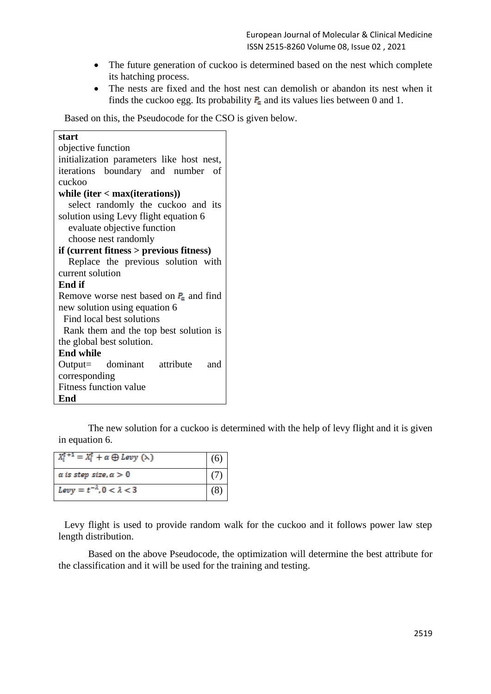- The future generation of cuckoo is determined based on the nest which complete its hatching process.
- The nests are fixed and the host nest can demolish or abandon its nest when it finds the cuckoo egg. Its probability  $P_a$  and its values lies between 0 and 1.

Based on this, the Pseudocode for the CSO is given below.

| start                                       |
|---------------------------------------------|
| objective function                          |
| initialization parameters like host nest,   |
| iterations boundary and number of           |
| cuckoo                                      |
| while $iter < max(iterations)$              |
| select randomly the cuckoo and its          |
| solution using Levy flight equation 6       |
| evaluate objective function                 |
| choose nest randomly                        |
| $if$ (current fitness $>$ previous fitness) |
| Replace the previous solution with          |
| current solution                            |
| <b>End if</b>                               |
| Remove worse nest based on $P_a$ and find   |
| new solution using equation 6               |
| Find local best solutions                   |
| Rank them and the top best solution is      |
| the global best solution.                   |
| <b>End while</b>                            |
| Output= dominant attribute and              |
| corresponding                               |
| <b>Fitness function value</b>               |
| End                                         |

The new solution for a cuckoo is determined with the help of levy flight and it is given in equation 6.

| $X_i^{\mathbf{t}+1} = X_i^{\mathbf{t}} + \alpha \oplus \text{Levy }(\lambda)$ |  |
|-------------------------------------------------------------------------------|--|
| $\alpha$ is step size, $\alpha > 0$                                           |  |
| Levy = $t^{-\lambda}$ , 0 < $\lambda$ < 3                                     |  |

Levy flight is used to provide random walk for the cuckoo and it follows power law step length distribution.

Based on the above Pseudocode, the optimization will determine the best attribute for the classification and it will be used for the training and testing.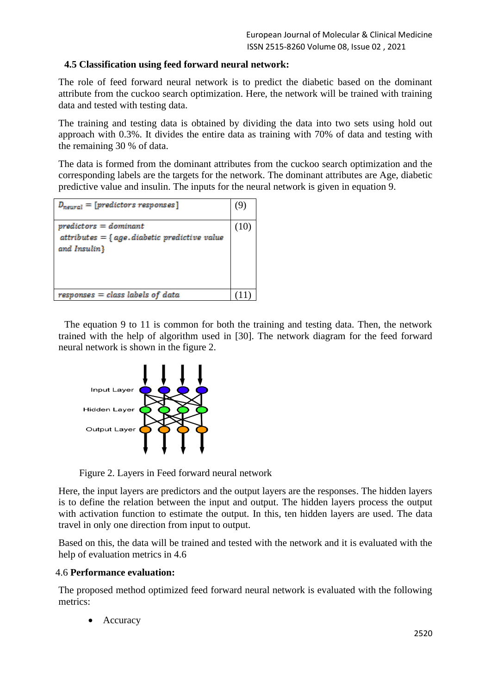## **4.5 Classification using feed forward neural network:**

The role of feed forward neural network is to predict the diabetic based on the dominant attribute from the cuckoo search optimization. Here, the network will be trained with training data and tested with testing data.

The training and testing data is obtained by dividing the data into two sets using hold out approach with 0.3%. It divides the entire data as training with 70% of data and testing with the remaining 30 % of data.

The data is formed from the dominant attributes from the cuckoo search optimization and the corresponding labels are the targets for the network. The dominant attributes are Age, diabetic predictive value and insulin. The inputs for the neural network is given in equation 9.

| $D_{neutral} = [predictors$ responses]                                                      | ٠9, |
|---------------------------------------------------------------------------------------------|-----|
| $predictors = dominant$<br>$attributes = \{ age, diabetic predictive value$<br>and Insulin} |     |
| $responses = class labels of data$                                                          |     |

The equation 9 to 11 is common for both the training and testing data. Then, the network trained with the help of algorithm used in [30]. The network diagram for the feed forward neural network is shown in the figure 2.



Figure 2. Layers in Feed forward neural network

Here, the input layers are predictors and the output layers are the responses. The hidden layers is to define the relation between the input and output. The hidden layers process the output with activation function to estimate the output. In this, ten hidden layers are used. The data travel in only one direction from input to output.

Based on this, the data will be trained and tested with the network and it is evaluated with the help of evaluation metrics in 4.6

## 4.6 **Performance evaluation:**

The proposed method optimized feed forward neural network is evaluated with the following metrics:

• Accuracy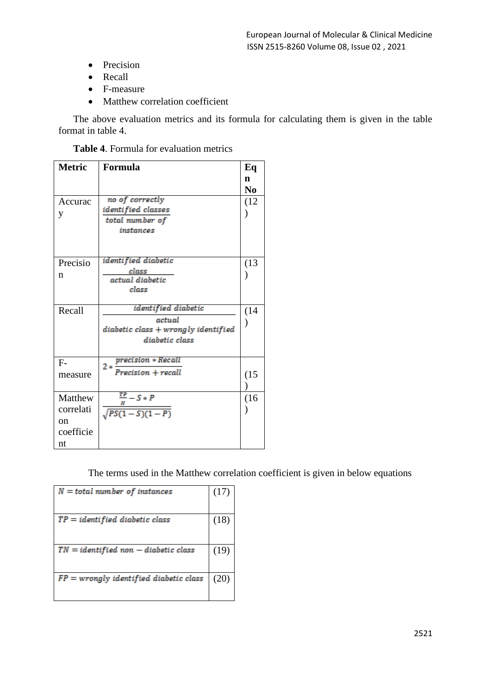- Precision
- Recall
- F-measure
- Matthew correlation coefficient

The above evaluation metrics and its formula for calculating them is given in the table format in table 4.

**Table 4**. Formula for evaluation metrics

| <b>Metric</b> | Formula                             | Eq             |
|---------------|-------------------------------------|----------------|
|               |                                     | n              |
|               |                                     | N <sub>0</sub> |
| Accurac       | no of correctly                     | (12)           |
| y             | identi fied classes                 |                |
|               | total number of                     |                |
|               | instances                           |                |
|               |                                     |                |
| Precisio      | identi fied diabetic                | (13)           |
| n             | class                               |                |
|               | actual diabetic                     |                |
|               | class                               |                |
| Recall        | identified diabetic                 | (14)           |
|               | actual                              |                |
|               | diabetic class + wrongly identified |                |
|               | diabetic class                      |                |
| $F-$          | precision * Recall                  |                |
|               | $2*$<br>$Precision + recall$        |                |
| measure       |                                     | (15)           |
|               |                                     |                |
| Matthew       | $\frac{TP}{-} - S \cdot P$          | (16)           |
| correlati     | $\frac{N}{\sqrt{PS(1-S)(1-P)}}$     |                |
| $\alpha$ n    |                                     |                |
| coefficie     |                                     |                |
| nt            |                                     |                |

The terms used in the Matthew correlation coefficient is given in below equations

| $N = total number of instances$            | (17) |
|--------------------------------------------|------|
| $TP = identified\ diabetic\ class$         | (18) |
| $TN = identified \; non-diabetic \; class$ | (19) |
| $FP =$ wrongly identified diabetic class   | (20) |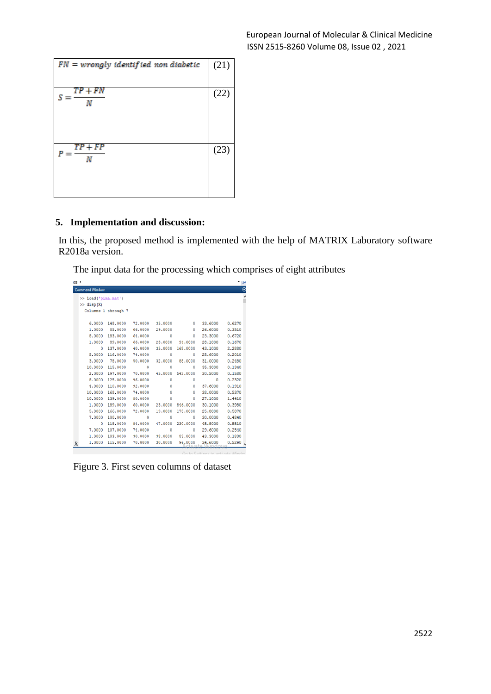| $FN =$ wrongly identified non diabetic | (21) |
|----------------------------------------|------|
| $TP + FN$<br>Ν                         | (22) |
| $TP + FP$<br>Ν                         | (23) |

## **5. Implementation and discussion:**

In this, the proposed method is implemented with the help of MATRIX Laboratory software R2018a version.

The input data for the processing which comprises of eight attributes

| as. | <b>Command Window</b> |                     |         |         |          |         | ىر -<br>$\odot$ |
|-----|-----------------------|---------------------|---------|---------|----------|---------|-----------------|
|     | >> load('pima.mat')   |                     |         |         |          |         |                 |
|     | $\gg$ disp $(X)$      |                     |         |         |          |         |                 |
|     |                       | Columns 1 through 7 |         |         |          |         |                 |
|     |                       |                     |         |         |          |         |                 |
|     | 6.0000                | 148,0000            | 72,0000 | 35,0000 | ٥        | 33.6000 | 0.6270          |
|     | 1,0000                | 85,0000             | 66,0000 | 29,0000 | ٥        | 26,6000 | 0.3510          |
|     | 8,0000                | 183,0000            | 64,0000 | Ō       | ٥        | 23,3000 | 0.6720          |
|     | 1.0000                | 89,0000             | 66,0000 | 23,0000 | 94,0000  | 28,1000 | 0.1670          |
|     | ٥                     | 137.0000            | 40,0000 | 35,0000 | 168,0000 | 43.1000 | 2,2880          |
|     | 5,0000                | 116,0000            | 74,0000 | Ō       | Ō        | 25,6000 | 0.2010          |
|     | 3.0000                | 78,0000             | 50,0000 | 32,0000 | 88,0000  | 31.0000 | 0.2480          |
|     | 10.0000               | 115,0000            | ٥       | Ō       | ٥        | 35,3000 | 0.1340          |
|     | 2,0000                | 197,0000            | 70,0000 | 45,0000 | 543,0000 | 30,5000 | 0.1580          |
|     | 8,0000                | 125,0000            | 96,0000 | Ō       | Ō        | 0       | 0.2320          |
|     | 4.0000                | 110,0000            | 92,0000 | Ō       | ٥        | 37.6000 | 0.1910          |
|     | 10,0000               | 168,0000            | 74,0000 | ٥       | ٥        | 38,0000 | 0.5370          |
|     | 10,0000               | 139,0000            | 80,0000 | Ō       | Ō        | 27,1000 | 1,4410          |
|     | 1.0000                | 189,0000            | 60.0000 | 23,0000 | 846,0000 | 30.1000 | 0.3980          |
|     | 5.0000                | 166,0000            | 72,0000 | 19,0000 | 175,0000 | 25.8000 | 0.5870          |
|     | 7,0000                | 100,0000            | 0       | 0       | Ō        | 30,0000 | 0.4840          |
|     | 0                     | 118,0000            | 84,0000 | 47.0000 | 230,0000 | 45.8000 | 0.5510          |
|     | 7.0000                | 107,0000            | 74,0000 | ٥       | ٥        | 29,6000 | 0.2540          |
|     | 1,0000                | 103,0000            | 30,0000 | 38,0000 | 83,0000  | 43.3000 | 0.1830          |
| Þ,  | 1.0000                | 115,0000            | 70,0000 | 30.0000 | 96,0000  | 34.6000 | 0.5290          |
|     |                       |                     |         |         |          |         |                 |

Figure 3. First seven columns of dataset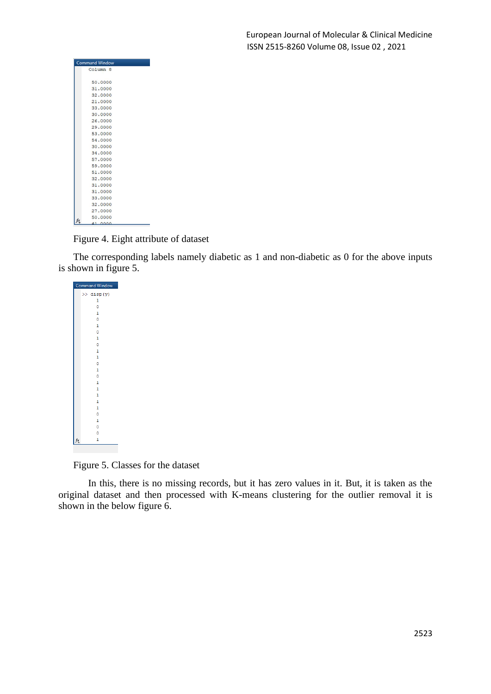| <b>Command Window</b> |  |
|-----------------------|--|
| Column <sub>8</sub>   |  |
|                       |  |
| 50,0000               |  |
| 31,0000               |  |
| 32,0000               |  |
| 21,0000               |  |
| 33,0000               |  |
| 30,0000               |  |
| 26,0000               |  |
| 29,0000               |  |
| 53,0000               |  |
| 54,0000               |  |
| 30,0000               |  |
| 34,0000               |  |
| 57,0000               |  |
| 59,0000               |  |
| 51,0000               |  |
| 32,0000               |  |
| 31,0000               |  |
| 31,0000               |  |
| 33,0000               |  |
| 32,0000               |  |
| 27,0000               |  |
| 50,0000<br>fx         |  |
| 41 0000               |  |

Figure 4. Eight attribute of dataset

The corresponding labels namely diabetic as 1 and non-diabetic as 0 for the above inputs is shown in figure 5.

and Window  $\gg$  disp(y)  $\overline{1}$  $\Omega$  $\,1\,$  $\ddot{\mathbf{0}}$  $\overline{1}$  $\circ$  $\overline{1}$  $\mathbf{1}$  $\mathbf{1}$  $\overline{\mathbf{0}}$  $\mathbf{1}$  $\circ$  $\overline{\mathbf{0}}$  $\mathbf 1$ 

Figure 5. Classes for the dataset

In this, there is no missing records, but it has zero values in it. But, it is taken as the original dataset and then processed with K-means clustering for the outlier removal it is shown in the below figure 6.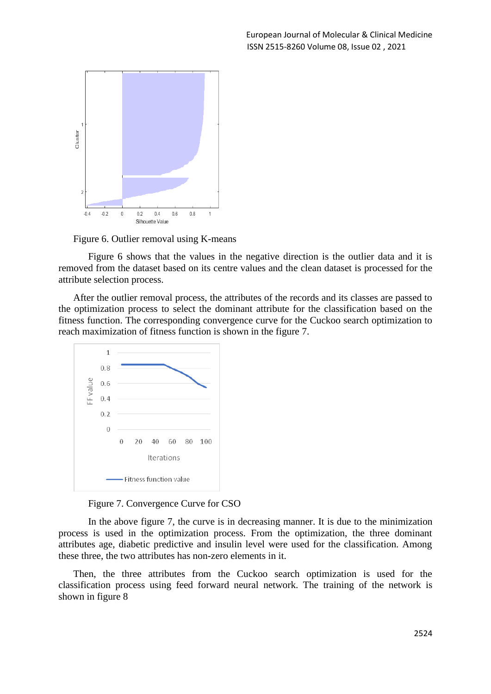

Figure 6. Outlier removal using K-means

Figure 6 shows that the values in the negative direction is the outlier data and it is removed from the dataset based on its centre values and the clean dataset is processed for the attribute selection process.

After the outlier removal process, the attributes of the records and its classes are passed to the optimization process to select the dominant attribute for the classification based on the fitness function. The corresponding convergence curve for the Cuckoo search optimization to reach maximization of fitness function is shown in the figure 7.



Figure 7. Convergence Curve for CSO

In the above figure 7, the curve is in decreasing manner. It is due to the minimization process is used in the optimization process. From the optimization, the three dominant attributes age, diabetic predictive and insulin level were used for the classification. Among these three, the two attributes has non-zero elements in it.

Then, the three attributes from the Cuckoo search optimization is used for the classification process using feed forward neural network. The training of the network is shown in figure 8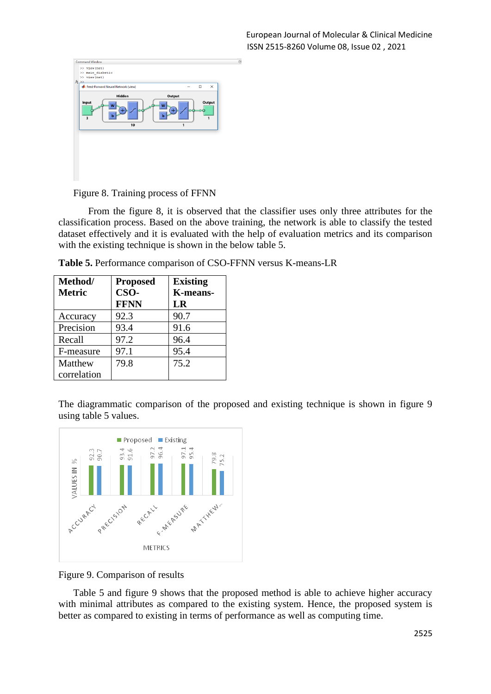|                        |                                                        |        |              | $\circledast$ |
|------------------------|--------------------------------------------------------|--------|--------------|---------------|
|                        |                                                        | $\Box$ | $\times$     |               |
| Hidden<br>W<br>b<br>10 | Output<br>W<br>ь<br>1                                  |        | $\mathbf{1}$ |               |
|                        |                                                        |        |              |               |
|                        |                                                        |        |              |               |
|                        | >> main_diabetic<br>Feed-Forward Neural Network (view) |        |              | Output        |

Figure 8. Training process of FFNN

From the figure 8, it is observed that the classifier uses only three attributes for the classification process. Based on the above training, the network is able to classify the tested dataset effectively and it is evaluated with the help of evaluation metrics and its comparison with the existing technique is shown in the below table 5.

| <b>Table 5. Performance comparison of CSO-FFNN versus K-means-LR</b> |  |  |
|----------------------------------------------------------------------|--|--|
|----------------------------------------------------------------------|--|--|

| Method/       | <b>Proposed</b> | <b>Existing</b> |
|---------------|-----------------|-----------------|
| <b>Metric</b> | CSO-            | K-means-        |
|               | <b>FFNN</b>     | LR              |
| Accuracy      | 92.3            | 90.7            |
| Precision     | 93.4            | 91.6            |
| Recall        | 97.2            | 96.4            |
| F-measure     | 97.1            | 95.4            |
| Matthew       | 79.8            | 75.2            |
| correlation   |                 |                 |

The diagrammatic comparison of the proposed and existing technique is shown in figure 9 using table 5 values.



Figure 9. Comparison of results

Table 5 and figure 9 shows that the proposed method is able to achieve higher accuracy with minimal attributes as compared to the existing system. Hence, the proposed system is better as compared to existing in terms of performance as well as computing time.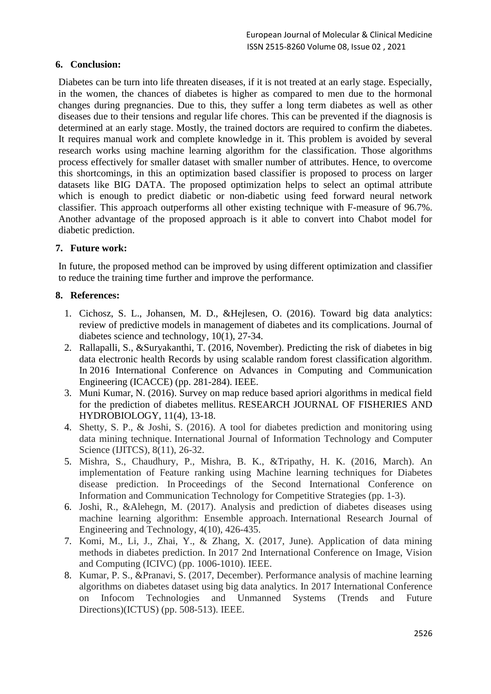## **6. Conclusion:**

Diabetes can be turn into life threaten diseases, if it is not treated at an early stage. Especially, in the women, the chances of diabetes is higher as compared to men due to the hormonal changes during pregnancies. Due to this, they suffer a long term diabetes as well as other diseases due to their tensions and regular life chores. This can be prevented if the diagnosis is determined at an early stage. Mostly, the trained doctors are required to confirm the diabetes. It requires manual work and complete knowledge in it. This problem is avoided by several research works using machine learning algorithm for the classification. Those algorithms process effectively for smaller dataset with smaller number of attributes. Hence, to overcome this shortcomings, in this an optimization based classifier is proposed to process on larger datasets like BIG DATA. The proposed optimization helps to select an optimal attribute which is enough to predict diabetic or non-diabetic using feed forward neural network classifier. This approach outperforms all other existing technique with F-measure of 96.7%. Another advantage of the proposed approach is it able to convert into Chabot model for diabetic prediction.

#### **7. Future work:**

In future, the proposed method can be improved by using different optimization and classifier to reduce the training time further and improve the performance.

#### **8. References:**

- 1. Cichosz, S. L., Johansen, M. D., &Hejlesen, O. (2016). Toward big data analytics: review of predictive models in management of diabetes and its complications. Journal of diabetes science and technology, 10(1), 27-34.
- 2. Rallapalli, S., &Suryakanthi, T. (2016, November). Predicting the risk of diabetes in big data electronic health Records by using scalable random forest classification algorithm. In 2016 International Conference on Advances in Computing and Communication Engineering (ICACCE) (pp. 281-284). IEEE.
- 3. Muni Kumar, N. (2016). Survey on map reduce based apriori algorithms in medical field for the prediction of diabetes mellitus. RESEARCH JOURNAL OF FISHERIES AND HYDROBIOLOGY, 11(4), 13-18.
- 4. Shetty, S. P., & Joshi, S. (2016). A tool for diabetes prediction and monitoring using data mining technique. International Journal of Information Technology and Computer Science (IJITCS), 8(11), 26-32.
- 5. Mishra, S., Chaudhury, P., Mishra, B. K., &Tripathy, H. K. (2016, March). An implementation of Feature ranking using Machine learning techniques for Diabetes disease prediction. In Proceedings of the Second International Conference on Information and Communication Technology for Competitive Strategies (pp. 1-3).
- 6. Joshi, R., &Alehegn, M. (2017). Analysis and prediction of diabetes diseases using machine learning algorithm: Ensemble approach. International Research Journal of Engineering and Technology, 4(10), 426-435.
- 7. Komi, M., Li, J., Zhai, Y., & Zhang, X. (2017, June). Application of data mining methods in diabetes prediction. In 2017 2nd International Conference on Image, Vision and Computing (ICIVC) (pp. 1006-1010). IEEE.
- 8. Kumar, P. S., &Pranavi, S. (2017, December). Performance analysis of machine learning algorithms on diabetes dataset using big data analytics. In 2017 International Conference on Infocom Technologies and Unmanned Systems (Trends and Future Directions)(ICTUS) (pp. 508-513). IEEE.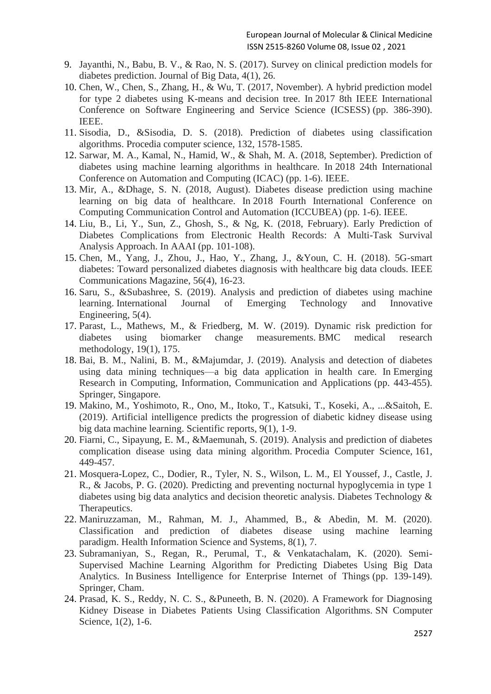- 9. Jayanthi, N., Babu, B. V., & Rao, N. S. (2017). Survey on clinical prediction models for diabetes prediction. Journal of Big Data, 4(1), 26.
- 10. Chen, W., Chen, S., Zhang, H., & Wu, T. (2017, November). A hybrid prediction model for type 2 diabetes using K-means and decision tree. In 2017 8th IEEE International Conference on Software Engineering and Service Science (ICSESS) (pp. 386-390). IEEE.
- 11. Sisodia, D., &Sisodia, D. S. (2018). Prediction of diabetes using classification algorithms. Procedia computer science, 132, 1578-1585.
- 12. Sarwar, M. A., Kamal, N., Hamid, W., & Shah, M. A. (2018, September). Prediction of diabetes using machine learning algorithms in healthcare. In 2018 24th International Conference on Automation and Computing (ICAC) (pp. 1-6). IEEE.
- 13. Mir, A., &Dhage, S. N. (2018, August). Diabetes disease prediction using machine learning on big data of healthcare. In 2018 Fourth International Conference on Computing Communication Control and Automation (ICCUBEA) (pp. 1-6). IEEE.
- 14. Liu, B., Li, Y., Sun, Z., Ghosh, S., & Ng, K. (2018, February). Early Prediction of Diabetes Complications from Electronic Health Records: A Multi-Task Survival Analysis Approach. In AAAI (pp. 101-108).
- 15. Chen, M., Yang, J., Zhou, J., Hao, Y., Zhang, J., &Youn, C. H. (2018). 5G-smart diabetes: Toward personalized diabetes diagnosis with healthcare big data clouds. IEEE Communications Magazine, 56(4), 16-23.
- 16. Saru, S., &Subashree, S. (2019). Analysis and prediction of diabetes using machine learning. International Journal of Emerging Technology and Innovative Engineering, 5(4).
- 17. Parast, L., Mathews, M., & Friedberg, M. W. (2019). Dynamic risk prediction for diabetes using biomarker change measurements. BMC medical research methodology, 19(1), 175.
- 18. Bai, B. M., Nalini, B. M., &Majumdar, J. (2019). Analysis and detection of diabetes using data mining techniques—a big data application in health care. In Emerging Research in Computing, Information, Communication and Applications (pp. 443-455). Springer, Singapore.
- 19. Makino, M., Yoshimoto, R., Ono, M., Itoko, T., Katsuki, T., Koseki, A., ...&Saitoh, E. (2019). Artificial intelligence predicts the progression of diabetic kidney disease using big data machine learning. Scientific reports, 9(1), 1-9.
- 20. Fiarni, C., Sipayung, E. M., &Maemunah, S. (2019). Analysis and prediction of diabetes complication disease using data mining algorithm. Procedia Computer Science, 161, 449-457.
- 21. Mosquera-Lopez, C., Dodier, R., Tyler, N. S., Wilson, L. M., El Youssef, J., Castle, J. R., & Jacobs, P. G. (2020). Predicting and preventing nocturnal hypoglycemia in type 1 diabetes using big data analytics and decision theoretic analysis. Diabetes Technology & Therapeutics.
- 22. Maniruzzaman, M., Rahman, M. J., Ahammed, B., & Abedin, M. M. (2020). Classification and prediction of diabetes disease using machine learning paradigm. Health Information Science and Systems, 8(1), 7.
- 23. Subramaniyan, S., Regan, R., Perumal, T., & Venkatachalam, K. (2020). Semi-Supervised Machine Learning Algorithm for Predicting Diabetes Using Big Data Analytics. In Business Intelligence for Enterprise Internet of Things (pp. 139-149). Springer, Cham.
- 24. Prasad, K. S., Reddy, N. C. S., &Puneeth, B. N. (2020). A Framework for Diagnosing Kidney Disease in Diabetes Patients Using Classification Algorithms. SN Computer Science, 1(2), 1-6.